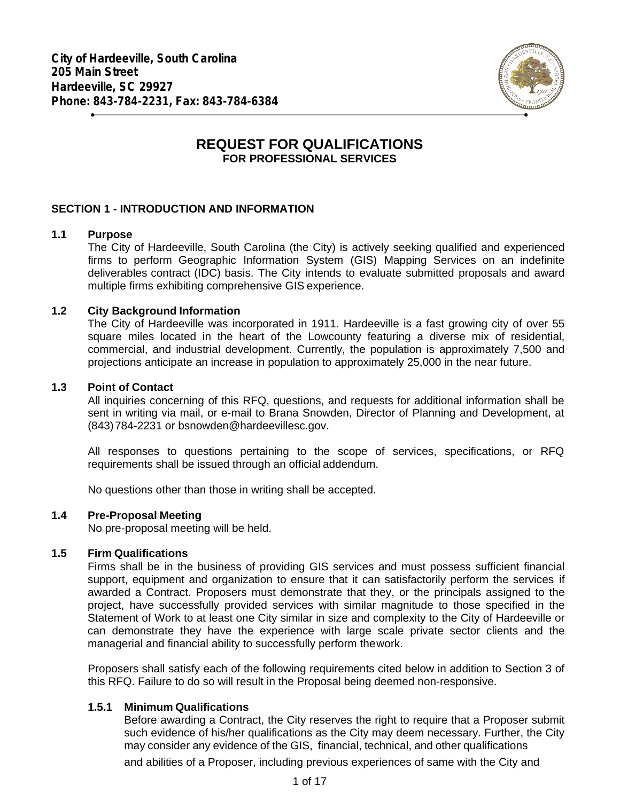

# **REQUEST FOR QUALIFICATIONS FOR PROFESSIONAL SERVICES**

## **SECTION 1 - INTRODUCTION AND INFORMATION**

### **1.1 Purpose**

The City of Hardeeville, South Carolina (the City) is actively seeking qualified and experienced firms to perform Geographic Information System (GIS) Mapping Services on an indefinite deliverables contract (IDC) basis. The City intends to evaluate submitted proposals and award multiple firms exhibiting comprehensive GIS experience.

### **1.2 City Background Information**

The City of Hardeeville was incorporated in 1911. Hardeeville is a fast growing city of over 55 square miles located in the heart of the Lowcounty featuring a diverse mix of residential, commercial, and industrial development. Currently, the population is approximately 7,500 and projections anticipate an increase in population to approximately 25,000 in the near future.

### **1.3 Point of Contact**

All inquiries concerning of this RFQ, questions, and requests for additional information shall be sent in writing via mail, or e-mail to Brana Snowden, Director of Planning and Development, at (843)784-2231 or bsnowden@hardeevillesc.gov.

All responses to questions pertaining to the scope of services, specifications, or RFQ requirements shall be issued through an official addendum.

No questions other than those in writing shall be accepted.

### **1.4 Pre-Proposal Meeting**

No pre-proposal meeting will be held.

### **1.5 Firm Qualifications**

Firms shall be in the business of providing GIS services and must possess sufficient financial support, equipment and organization to ensure that it can satisfactorily perform the services if awarded a Contract. Proposers must demonstrate that they, or the principals assigned to the project, have successfully provided services with similar magnitude to those specified in the Statement of Work to at least one City similar in size and complexity to the City of Hardeeville or can demonstrate they have the experience with large scale private sector clients and the managerial and financial ability to successfully perform thework.

Proposers shall satisfy each of the following requirements cited below in addition to Section 3 of this RFQ. Failure to do so will result in the Proposal being deemed non-responsive.

## **1.5.1 Minimum Qualifications**

Before awarding a Contract, the City reserves the right to require that a Proposer submit such evidence of his/her qualifications as the City may deem necessary. Further, the City may consider any evidence of the GIS, financial, technical, and other qualifications

and abilities of a Proposer, including previous experiences of same with the City and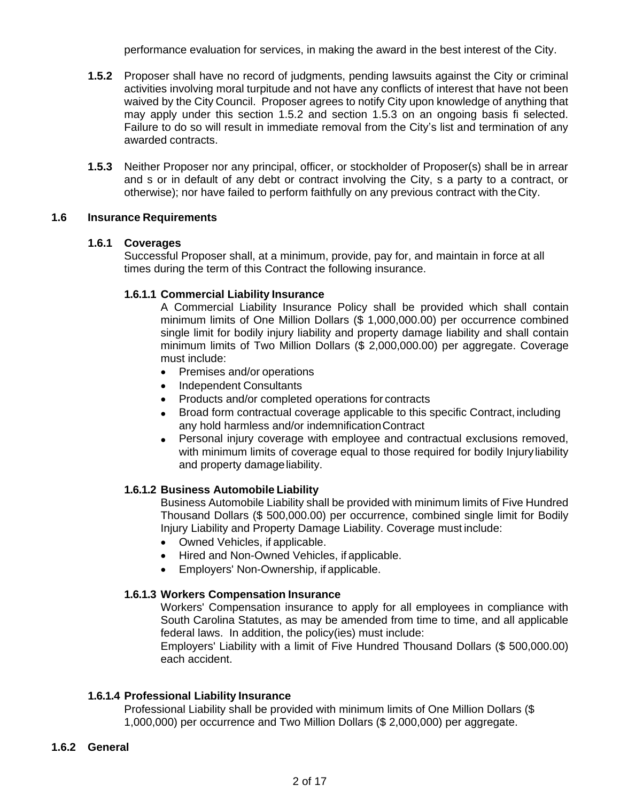performance evaluation for services, in making the award in the best interest of the City.

- **1.5.2** Proposer shall have no record of judgments, pending lawsuits against the City or criminal activities involving moral turpitude and not have any conflicts of interest that have not been waived by the City Council. Proposer agrees to notify City upon knowledge of anything that may apply under this section 1.5.2 and section 1.5.3 on an ongoing basis fi selected. Failure to do so will result in immediate removal from the City's list and termination of any awarded contracts.
- **1.5.3** Neither Proposer nor any principal, officer, or stockholder of Proposer(s) shall be in arrear and s or in default of any debt or contract involving the City, s a party to a contract, or otherwise); nor have failed to perform faithfully on any previous contract with theCity.

### **1.6 Insurance Requirements**

### **1.6.1 Coverages**

Successful Proposer shall, at a minimum, provide, pay for, and maintain in force at all times during the term of this Contract the following insurance.

### **1.6.1.1 Commercial Liability Insurance**

A Commercial Liability Insurance Policy shall be provided which shall contain minimum limits of One Million Dollars (\$ 1,000,000.00) per occurrence combined single limit for bodily injury liability and property damage liability and shall contain minimum limits of Two Million Dollars (\$ 2,000,000.00) per aggregate. Coverage must include:

- Premises and/or operations
- Independent Consultants
- Products and/or completed operations for contracts
- Broad form contractual coverage applicable to this specific Contract, including any hold harmless and/or indemnificationContract
- Personal injury coverage with employee and contractual exclusions removed, with minimum limits of coverage equal to those required for bodily Injuryliability and property damage liability.

## **1.6.1.2 Business Automobile Liability**

Business Automobile Liability shall be provided with minimum limits of Five Hundred Thousand Dollars (\$ 500,000.00) per occurrence, combined single limit for Bodily Injury Liability and Property Damage Liability. Coverage must include:

- Owned Vehicles, if applicable.
- Hired and Non-Owned Vehicles, if applicable.
- Employers' Non-Ownership, if applicable.

## **1.6.1.3 Workers Compensation Insurance**

Workers' Compensation insurance to apply for all employees in compliance with South Carolina Statutes, as may be amended from time to time, and all applicable federal laws. In addition, the policy(ies) must include:

Employers' Liability with a limit of Five Hundred Thousand Dollars (\$ 500,000.00) each accident.

## **1.6.1.4 Professional Liability Insurance**

Professional Liability shall be provided with minimum limits of One Million Dollars (\$ 1,000,000) per occurrence and Two Million Dollars (\$ 2,000,000) per aggregate.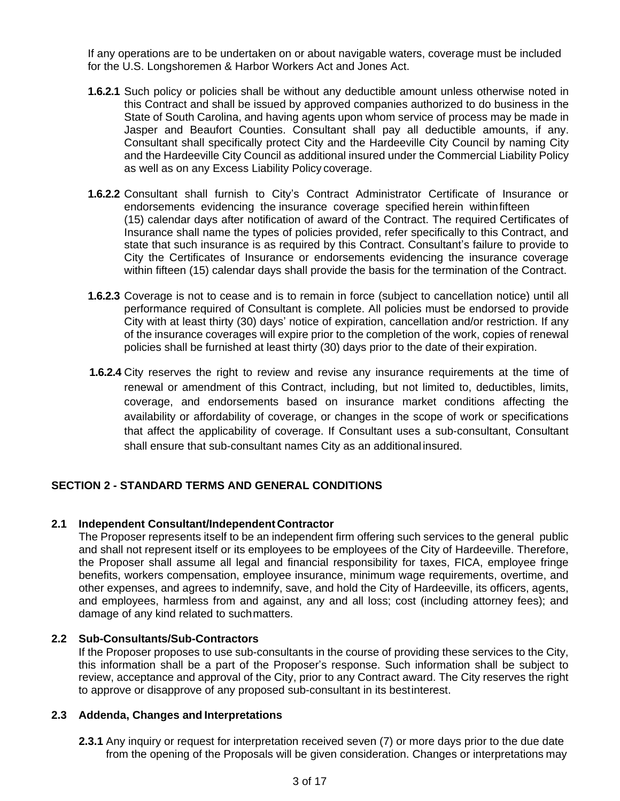If any operations are to be undertaken on or about navigable waters, coverage must be included for the U.S. Longshoremen & Harbor Workers Act and Jones Act.

- **1.6.2.1** Such policy or policies shall be without any deductible amount unless otherwise noted in this Contract and shall be issued by approved companies authorized to do business in the State of South Carolina, and having agents upon whom service of process may be made in Jasper and Beaufort Counties. Consultant shall pay all deductible amounts, if any. Consultant shall specifically protect City and the Hardeeville City Council by naming City and the Hardeeville City Council as additional insured under the Commercial Liability Policy as well as on any Excess Liability Policy coverage.
- **1.6.2.2** Consultant shall furnish to City's Contract Administrator Certificate of Insurance or endorsements evidencing the insurance coverage specified herein withinfifteen (15) calendar days after notification of award of the Contract. The required Certificates of Insurance shall name the types of policies provided, refer specifically to this Contract, and state that such insurance is as required by this Contract. Consultant's failure to provide to City the Certificates of Insurance or endorsements evidencing the insurance coverage within fifteen (15) calendar days shall provide the basis for the termination of the Contract.
- **1.6.2.3** Coverage is not to cease and is to remain in force (subject to cancellation notice) until all performance required of Consultant is complete. All policies must be endorsed to provide City with at least thirty (30) days' notice of expiration, cancellation and/or restriction. If any of the insurance coverages will expire prior to the completion of the work, copies of renewal policies shall be furnished at least thirty (30) days prior to the date of their expiration.
- **1.6.2.4** City reserves the right to review and revise any insurance requirements at the time of renewal or amendment of this Contract, including, but not limited to, deductibles, limits, coverage, and endorsements based on insurance market conditions affecting the availability or affordability of coverage, or changes in the scope of work or specifications that affect the applicability of coverage. If Consultant uses a sub-consultant, Consultant shall ensure that sub-consultant names City as an additional insured.

## **SECTION 2 - STANDARD TERMS AND GENERAL CONDITIONS**

### **2.1 Independent Consultant/Independent Contractor**

The Proposer represents itself to be an independent firm offering such services to the general public and shall not represent itself or its employees to be employees of the City of Hardeeville. Therefore, the Proposer shall assume all legal and financial responsibility for taxes, FICA, employee fringe benefits, workers compensation, employee insurance, minimum wage requirements, overtime, and other expenses, and agrees to indemnify, save, and hold the City of Hardeeville, its officers, agents, and employees, harmless from and against, any and all loss; cost (including attorney fees); and damage of any kind related to suchmatters.

### **2.2 Sub-Consultants/Sub-Contractors**

If the Proposer proposes to use sub-consultants in the course of providing these services to the City, this information shall be a part of the Proposer's response. Such information shall be subject to review, acceptance and approval of the City, prior to any Contract award. The City reserves the right to approve or disapprove of any proposed sub-consultant in its bestinterest.

### **2.3 Addenda, Changes and Interpretations**

**2.3.1** Any inquiry or request for interpretation received seven (7) or more days prior to the due date from the opening of the Proposals will be given consideration. Changes or interpretations may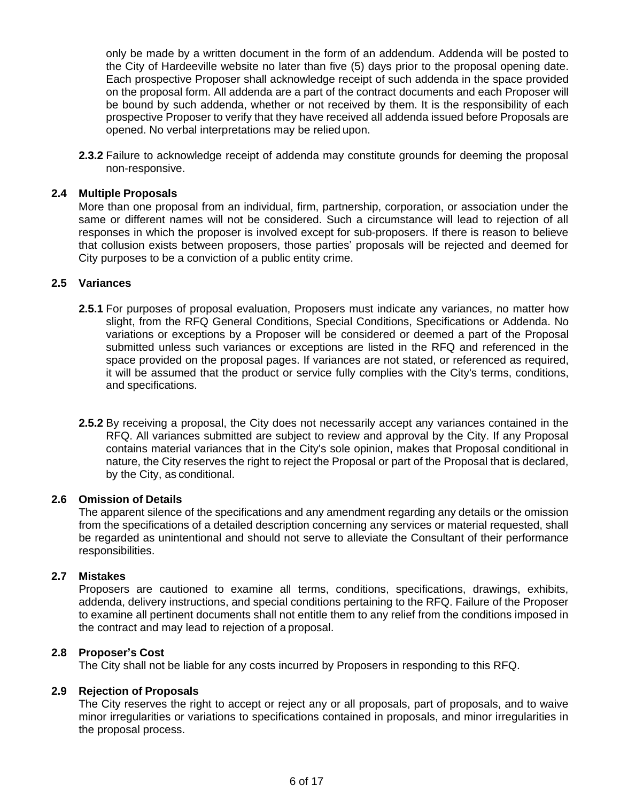only be made by a written document in the form of an addendum. Addenda will be posted to the City of Hardeeville website no later than five (5) days prior to the proposal opening date. Each prospective Proposer shall acknowledge receipt of such addenda in the space provided on the proposal form. All addenda are a part of the contract documents and each Proposer will be bound by such addenda, whether or not received by them. It is the responsibility of each prospective Proposer to verify that they have received all addenda issued before Proposals are opened. No verbal interpretations may be relied upon.

**2.3.2** Failure to acknowledge receipt of addenda may constitute grounds for deeming the proposal non-responsive.

### **2.4 Multiple Proposals**

More than one proposal from an individual, firm, partnership, corporation, or association under the same or different names will not be considered. Such a circumstance will lead to rejection of all responses in which the proposer is involved except for sub-proposers. If there is reason to believe that collusion exists between proposers, those parties' proposals will be rejected and deemed for City purposes to be a conviction of a public entity crime.

### **2.5 Variances**

- **2.5.1** For purposes of proposal evaluation, Proposers must indicate any variances, no matter how slight, from the RFQ General Conditions, Special Conditions, Specifications or Addenda. No variations or exceptions by a Proposer will be considered or deemed a part of the Proposal submitted unless such variances or exceptions are listed in the RFQ and referenced in the space provided on the proposal pages. If variances are not stated, or referenced as required, it will be assumed that the product or service fully complies with the City's terms, conditions, and specifications.
- **2.5.2** By receiving a proposal, the City does not necessarily accept any variances contained in the RFQ. All variances submitted are subject to review and approval by the City. If any Proposal contains material variances that in the City's sole opinion, makes that Proposal conditional in nature, the City reserves the right to reject the Proposal or part of the Proposal that is declared, by the City, as conditional.

#### **2.6 Omission of Details**

The apparent silence of the specifications and any amendment regarding any details or the omission from the specifications of a detailed description concerning any services or material requested, shall be regarded as unintentional and should not serve to alleviate the Consultant of their performance responsibilities.

#### **2.7 Mistakes**

Proposers are cautioned to examine all terms, conditions, specifications, drawings, exhibits, addenda, delivery instructions, and special conditions pertaining to the RFQ. Failure of the Proposer to examine all pertinent documents shall not entitle them to any relief from the conditions imposed in the contract and may lead to rejection of a proposal.

### **2.8 Proposer's Cost**

The City shall not be liable for any costs incurred by Proposers in responding to this RFQ.

### **2.9 Rejection of Proposals**

The City reserves the right to accept or reject any or all proposals, part of proposals, and to waive minor irregularities or variations to specifications contained in proposals, and minor irregularities in the proposal process.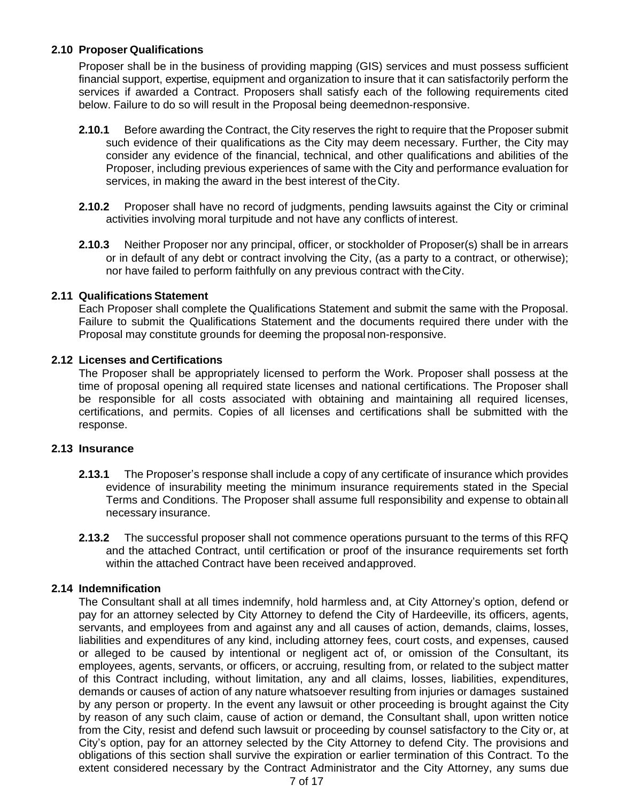## **2.10 Proposer Qualifications**

Proposer shall be in the business of providing mapping (GIS) services and must possess sufficient financial support, expertise, equipment and organization to insure that it can satisfactorily perform the services if awarded a Contract. Proposers shall satisfy each of the following requirements cited below. Failure to do so will result in the Proposal being deemednon-responsive.

- **2.10.1** Before awarding the Contract, the City reserves the right to require that the Proposer submit such evidence of their qualifications as the City may deem necessary. Further, the City may consider any evidence of the financial, technical, and other qualifications and abilities of the Proposer, including previous experiences of same with the City and performance evaluation for services, in making the award in the best interest of theCity.
- **2.10.2** Proposer shall have no record of judgments, pending lawsuits against the City or criminal activities involving moral turpitude and not have any conflicts of interest.
- **2.10.3** Neither Proposer nor any principal, officer, or stockholder of Proposer(s) shall be in arrears or in default of any debt or contract involving the City, (as a party to a contract, or otherwise); nor have failed to perform faithfully on any previous contract with theCity.

## **2.11 Qualifications Statement**

Each Proposer shall complete the Qualifications Statement and submit the same with the Proposal. Failure to submit the Qualifications Statement and the documents required there under with the Proposal may constitute grounds for deeming the proposal non-responsive.

### **2.12 Licenses and Certifications**

The Proposer shall be appropriately licensed to perform the Work. Proposer shall possess at the time of proposal opening all required state licenses and national certifications. The Proposer shall be responsible for all costs associated with obtaining and maintaining all required licenses, certifications, and permits. Copies of all licenses and certifications shall be submitted with the response.

### **2.13 Insurance**

- **2.13.1** The Proposer's response shall include a copy of any certificate of insurance which provides evidence of insurability meeting the minimum insurance requirements stated in the Special Terms and Conditions. The Proposer shall assume full responsibility and expense to obtainall necessary insurance.
- **2.13.2** The successful proposer shall not commence operations pursuant to the terms of this RFQ and the attached Contract, until certification or proof of the insurance requirements set forth within the attached Contract have been received andapproved.

## **2.14 Indemnification**

The Consultant shall at all times indemnify, hold harmless and, at City Attorney's option, defend or pay for an attorney selected by City Attorney to defend the City of Hardeeville, its officers, agents, servants, and employees from and against any and all causes of action, demands, claims, losses, liabilities and expenditures of any kind, including attorney fees, court costs, and expenses, caused or alleged to be caused by intentional or negligent act of, or omission of the Consultant, its employees, agents, servants, or officers, or accruing, resulting from, or related to the subject matter of this Contract including, without limitation, any and all claims, losses, liabilities, expenditures, demands or causes of action of any nature whatsoever resulting from injuries or damages sustained by any person or property. In the event any lawsuit or other proceeding is brought against the City by reason of any such claim, cause of action or demand, the Consultant shall, upon written notice from the City, resist and defend such lawsuit or proceeding by counsel satisfactory to the City or, at City's option, pay for an attorney selected by the City Attorney to defend City. The provisions and obligations of this section shall survive the expiration or earlier termination of this Contract. To the extent considered necessary by the Contract Administrator and the City Attorney, any sums due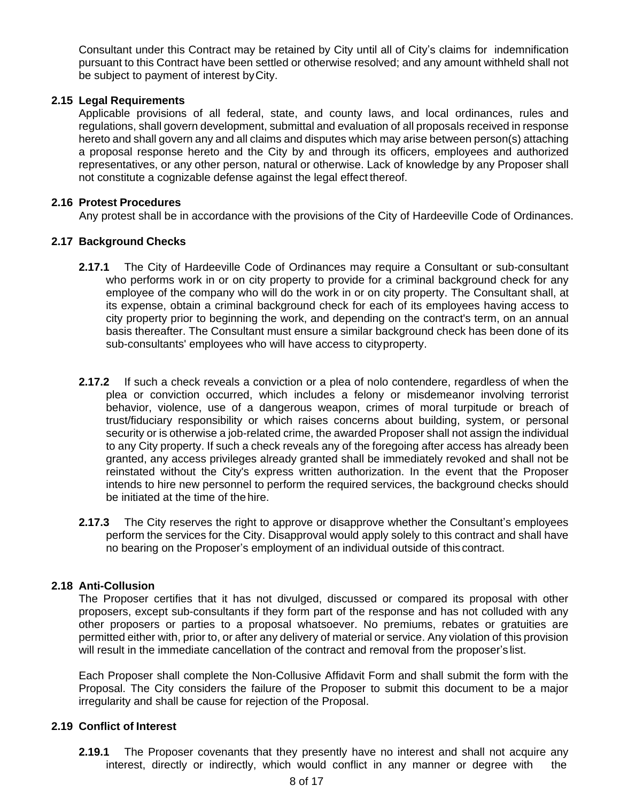Consultant under this Contract may be retained by City until all of City's claims for indemnification pursuant to this Contract have been settled or otherwise resolved; and any amount withheld shall not be subject to payment of interest byCity.

## **2.15 Legal Requirements**

Applicable provisions of all federal, state, and county laws, and local ordinances, rules and regulations, shall govern development, submittal and evaluation of all proposals received in response hereto and shall govern any and all claims and disputes which may arise between person(s) attaching a proposal response hereto and the City by and through its officers, employees and authorized representatives, or any other person, natural or otherwise. Lack of knowledge by any Proposer shall not constitute a cognizable defense against the legal effect thereof.

### **2.16 Protest Procedures**

Any protest shall be in accordance with the provisions of the City of Hardeeville Code of Ordinances.

### **2.17 Background Checks**

- **2.17.1** The City of Hardeeville Code of Ordinances may require a Consultant or sub-consultant who performs work in or on city property to provide for a criminal background check for any employee of the company who will do the work in or on city property. The Consultant shall, at its expense, obtain a criminal background check for each of its employees having access to city property prior to beginning the work, and depending on the contract's term, on an annual basis thereafter. The Consultant must ensure a similar background check has been done of its sub-consultants' employees who will have access to cityproperty.
- **2.17.2** If such a check reveals a conviction or a plea of nolo contendere, regardless of when the plea or conviction occurred, which includes a felony or misdemeanor involving terrorist behavior, violence, use of a dangerous weapon, crimes of moral turpitude or breach of trust/fiduciary responsibility or which raises concerns about building, system, or personal security or is otherwise a job-related crime, the awarded Proposer shall not assign the individual to any City property. If such a check reveals any of the foregoing after access has already been granted, any access privileges already granted shall be immediately revoked and shall not be reinstated without the City's express written authorization. In the event that the Proposer intends to hire new personnel to perform the required services, the background checks should be initiated at the time of the hire.
- **2.17.3** The City reserves the right to approve or disapprove whether the Consultant's employees perform the services for the City. Disapproval would apply solely to this contract and shall have no bearing on the Proposer's employment of an individual outside of this contract.

## **2.18 Anti-Collusion**

The Proposer certifies that it has not divulged, discussed or compared its proposal with other proposers, except sub-consultants if they form part of the response and has not colluded with any other proposers or parties to a proposal whatsoever. No premiums, rebates or gratuities are permitted either with, prior to, or after any delivery of material or service. Any violation of this provision will result in the immediate cancellation of the contract and removal from the proposer's list.

Each Proposer shall complete the Non-Collusive Affidavit Form and shall submit the form with the Proposal. The City considers the failure of the Proposer to submit this document to be a major irregularity and shall be cause for rejection of the Proposal.

### **2.19 Conflict of Interest**

**2.19.1** The Proposer covenants that they presently have no interest and shall not acquire any interest, directly or indirectly, which would conflict in any manner or degree with the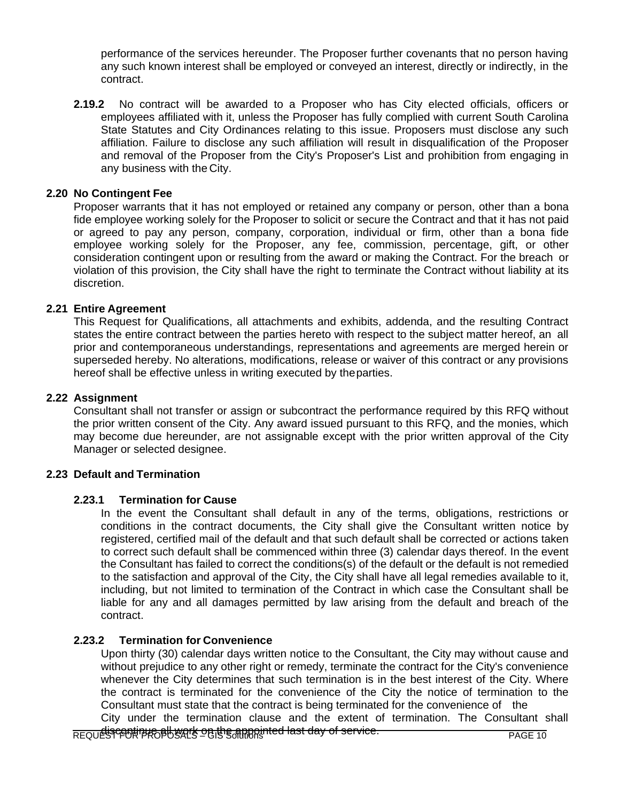performance of the services hereunder. The Proposer further covenants that no person having any such known interest shall be employed or conveyed an interest, directly or indirectly, in the contract.

**2.19.2** No contract will be awarded to a Proposer who has City elected officials, officers or employees affiliated with it, unless the Proposer has fully complied with current South Carolina State Statutes and City Ordinances relating to this issue. Proposers must disclose any such affiliation. Failure to disclose any such affiliation will result in disqualification of the Proposer and removal of the Proposer from the City's Proposer's List and prohibition from engaging in any business with the City.

#### **2.20 No Contingent Fee**

Proposer warrants that it has not employed or retained any company or person, other than a bona fide employee working solely for the Proposer to solicit or secure the Contract and that it has not paid or agreed to pay any person, company, corporation, individual or firm, other than a bona fide employee working solely for the Proposer, any fee, commission, percentage, gift, or other consideration contingent upon or resulting from the award or making the Contract. For the breach or violation of this provision, the City shall have the right to terminate the Contract without liability at its discretion.

#### **2.21 Entire Agreement**

This Request for Qualifications, all attachments and exhibits, addenda, and the resulting Contract states the entire contract between the parties hereto with respect to the subject matter hereof, an all prior and contemporaneous understandings, representations and agreements are merged herein or superseded hereby. No alterations, modifications, release or waiver of this contract or any provisions hereof shall be effective unless in writing executed by theparties.

#### **2.22 Assignment**

Consultant shall not transfer or assign or subcontract the performance required by this RFQ without the prior written consent of the City. Any award issued pursuant to this RFQ, and the monies, which may become due hereunder, are not assignable except with the prior written approval of the City Manager or selected designee.

## **2.23 Default and Termination**

### **2.23.1 Termination for Cause**

In the event the Consultant shall default in any of the terms, obligations, restrictions or conditions in the contract documents, the City shall give the Consultant written notice by registered, certified mail of the default and that such default shall be corrected or actions taken to correct such default shall be commenced within three (3) calendar days thereof. In the event the Consultant has failed to correct the conditions(s) of the default or the default is not remedied to the satisfaction and approval of the City, the City shall have all legal remedies available to it, including, but not limited to termination of the Contract in which case the Consultant shall be liable for any and all damages permitted by law arising from the default and breach of the contract.

### **2.23.2 Termination for Convenience**

Upon thirty (30) calendar days written notice to the Consultant, the City may without cause and without prejudice to any other right or remedy, terminate the contract for the City's convenience whenever the City determines that such termination is in the best interest of the City. Where the contract is terminated for the convenience of the City the notice of termination to the Consultant must state that the contract is being terminated for the convenience of the

REQUEST FOR PROPOSALS – GIS Solutions PAGE 10 discontinue all work on the appointed last day of service.City under the termination clause and the extent of termination. The Consultant shall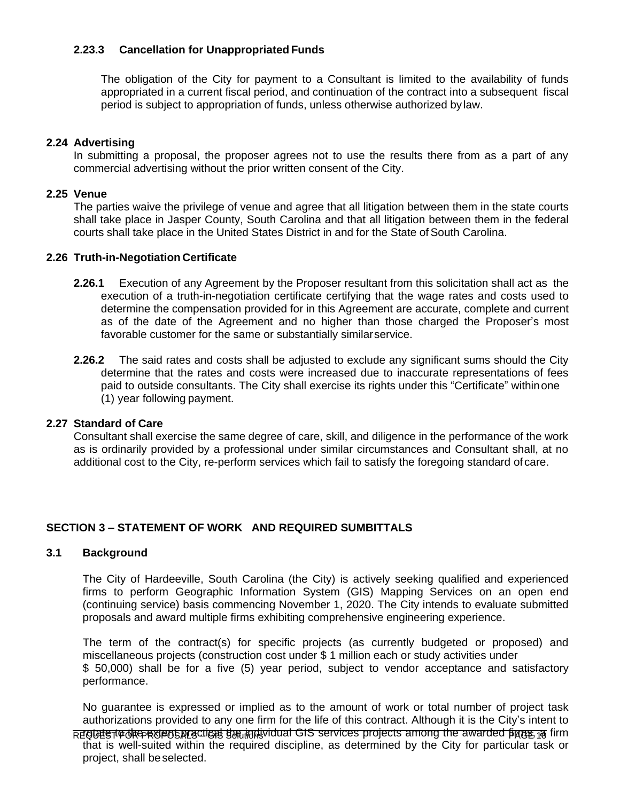## **2.23.3 Cancellation for Unappropriated Funds**

The obligation of the City for payment to a Consultant is limited to the availability of funds appropriated in a current fiscal period, and continuation of the contract into a subsequent fiscal period is subject to appropriation of funds, unless otherwise authorized bylaw.

### **2.24 Advertising**

In submitting a proposal, the proposer agrees not to use the results there from as a part of any commercial advertising without the prior written consent of the City.

### **2.25 Venue**

The parties waive the privilege of venue and agree that all litigation between them in the state courts shall take place in Jasper County, South Carolina and that all litigation between them in the federal courts shall take place in the United States District in and for the State of South Carolina.

### **2.26 Truth-in-Negotiation Certificate**

- **2.26.1** Execution of any Agreement by the Proposer resultant from this solicitation shall act as the execution of a truth-in-negotiation certificate certifying that the wage rates and costs used to determine the compensation provided for in this Agreement are accurate, complete and current as of the date of the Agreement and no higher than those charged the Proposer's most favorable customer for the same or substantially similarservice.
- **2.26.2** The said rates and costs shall be adjusted to exclude any significant sums should the City determine that the rates and costs were increased due to inaccurate representations of fees paid to outside consultants. The City shall exercise its rights under this "Certificate" withinone (1) year following payment.

### **2.27 Standard of Care**

Consultant shall exercise the same degree of care, skill, and diligence in the performance of the work as is ordinarily provided by a professional under similar circumstances and Consultant shall, at no additional cost to the City, re-perform services which fail to satisfy the foregoing standard of care.

## **SECTION 3 – STATEMENT OF WORK AND REQUIRED SUMBITTALS**

### **3.1 Background**

The City of Hardeeville, South Carolina (the City) is actively seeking qualified and experienced firms to perform Geographic Information System (GIS) Mapping Services on an open end (continuing service) basis commencing November 1, 2020. The City intends to evaluate submitted proposals and award multiple firms exhibiting comprehensive engineering experience.

The term of the contract(s) for specific projects (as currently budgeted or proposed) and miscellaneous projects (construction cost under \$ 1 million each or study activities under \$ 50,000) shall be for a five (5) year period, subject to vendor acceptance and satisfactory performance.

No guarantee is expressed or implied as to the amount of work or total number of project task authorizations provided to any one firm for the life of this contract. Although it is the City's intent to

REQUESTO CROPOSALS LIGE TO THE INDIVIDUAL GIS SERVICES Projects among the awarded firms, a firm that is well-suited within the required discipline, as determined by the City for particular task or project, shall beselected.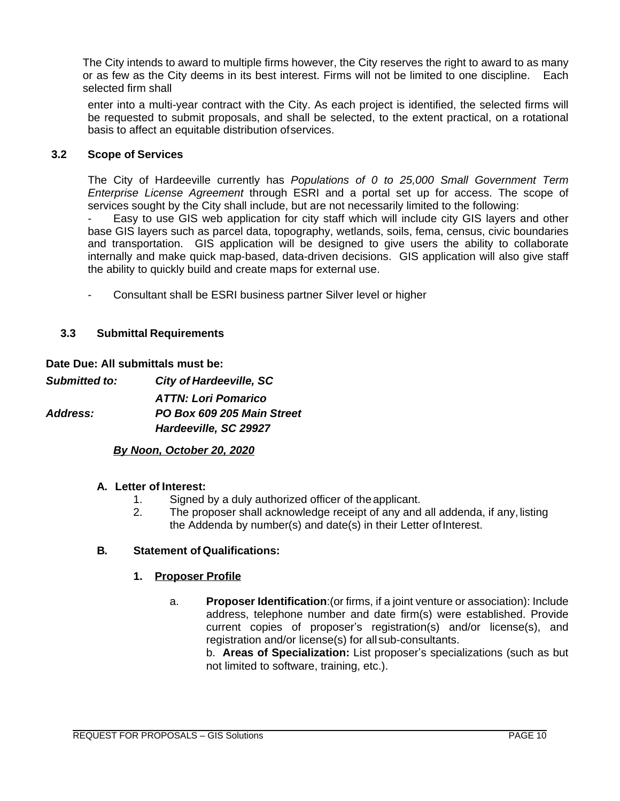The City intends to award to multiple firms however, the City reserves the right to award to as many or as few as the City deems in its best interest. Firms will not be limited to one discipline. Each selected firm shall

enter into a multi-year contract with the City. As each project is identified, the selected firms will be requested to submit proposals, and shall be selected, to the extent practical, on a rotational basis to affect an equitable distribution ofservices.

## **3.2 Scope of Services**

The City of Hardeeville currently has *Populations of 0 to 25,000 Small Government Term Enterprise License Agreement* through ESRI and a portal set up for access. The scope of services sought by the City shall include, but are not necessarily limited to the following:

Easy to use GIS web application for city staff which will include city GIS layers and other base GIS layers such as parcel data, topography, wetlands, soils, fema, census, civic boundaries and transportation. GIS application will be designed to give users the ability to collaborate internally and make quick map-based, data-driven decisions. GIS application will also give staff the ability to quickly build and create maps for external use.

Consultant shall be ESRI business partner Silver level or higher

### **3.3 Submittal Requirements**

### **Date Due: All submittals must be:**

*Submitted to: City of Hardeeville, SC ATTN: Lori Pomarico Address: PO Box 609 205 Main Street Hardeeville, SC 29927*

## *By Noon, October 20, 2020*

### **A. Letter of Interest:**

- 1. Signed by a duly authorized officer of theapplicant.
- 2. The proposer shall acknowledge receipt of any and all addenda, if any, listing the Addenda by number(s) and date(s) in their Letter ofInterest.

### **B. Statement of Qualifications:**

### **1. Proposer Profile**

a. **Proposer Identification**:(or firms, if a joint venture or association): Include address, telephone number and date firm(s) were established. Provide current copies of proposer's registration(s) and/or license(s), and registration and/or license(s) for all sub-consultants.

b. **Areas of Specialization:** List proposer's specializations (such as but not limited to software, training, etc.).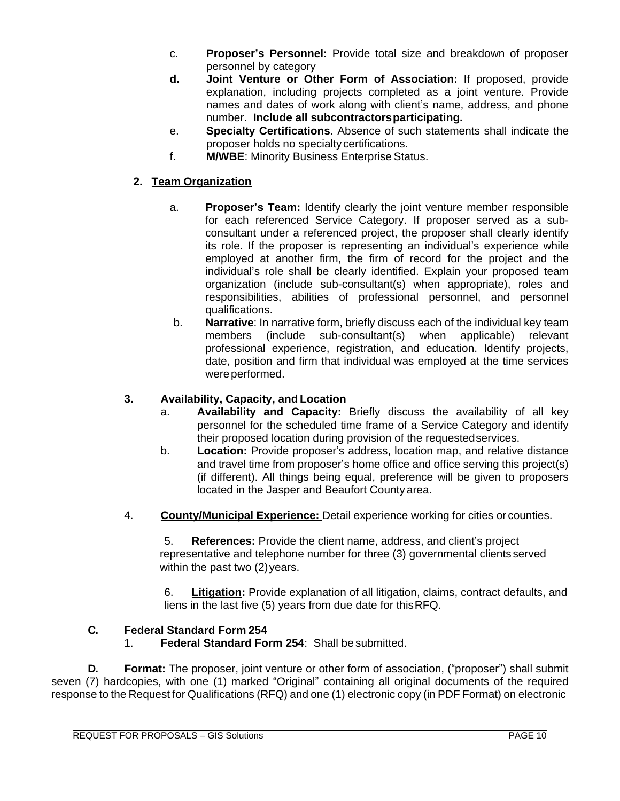- c. **Proposer's Personnel:** Provide total size and breakdown of proposer personnel by category
- **d. Joint Venture or Other Form of Association:** If proposed, provide explanation, including projects completed as a joint venture. Provide names and dates of work along with client's name, address, and phone number. **Include all subcontractorsparticipating.**
- e. **Specialty Certifications**. Absence of such statements shall indicate the proposer holds no specialty certifications.
- f. **M/WBE**: Minority Business Enterprise Status.

# **2. Team Organization**

- a. **Proposer's Team:** Identify clearly the joint venture member responsible for each referenced Service Category. If proposer served as a subconsultant under a referenced project, the proposer shall clearly identify its role. If the proposer is representing an individual's experience while employed at another firm, the firm of record for the project and the individual's role shall be clearly identified. Explain your proposed team organization (include sub-consultant(s) when appropriate), roles and responsibilities, abilities of professional personnel, and personnel qualifications.
- b. **Narrative**: In narrative form, briefly discuss each of the individual key team members (include sub-consultant(s) when applicable) relevant professional experience, registration, and education. Identify projects, date, position and firm that individual was employed at the time services were performed.

# **3. Availability, Capacity, and Location**

- a. **Availability and Capacity:** Briefly discuss the availability of all key personnel for the scheduled time frame of a Service Category and identify their proposed location during provision of the requestedservices.
- b. **Location:** Provide proposer's address, location map, and relative distance and travel time from proposer's home office and office serving this project(s) (if different). All things being equal, preference will be given to proposers located in the Jasper and Beaufort County area.
- 4. **County/Municipal Experience:** Detail experience working for cities or counties.

5. **References:** Provide the client name, address, and client's project representative and telephone number for three (3) governmental clients served within the past two (2) years.

6. **Litigation:** Provide explanation of all litigation, claims, contract defaults, and liens in the last five (5) years from due date for thisRFQ.

## **C. Federal Standard Form 254**

1. **Federal Standard Form 254**: Shall be submitted.

**D. Format:** The proposer, joint venture or other form of association, ("proposer") shall submit seven (7) hardcopies, with one (1) marked "Original" containing all original documents of the required response to the Request for Qualifications (RFQ) and one (1) electronic copy (in PDF Format) on electronic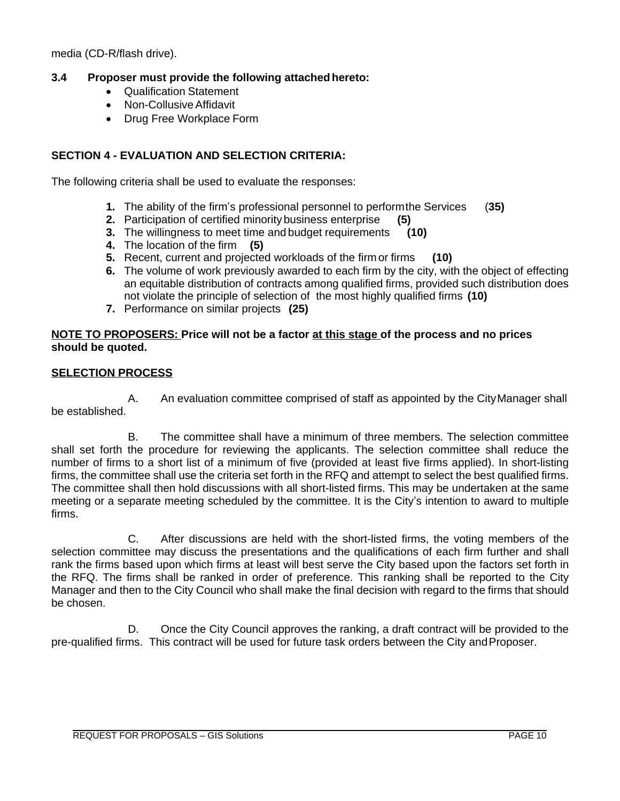media (CD-R/flash drive).

## **3.4 Proposer must provide the following attachedhereto:**

- Qualification Statement
- Non-CollusiveAffidavit
- Drug Free Workplace Form

# **SECTION 4 - EVALUATION AND SELECTION CRITERIA:**

The following criteria shall be used to evaluate the responses:

- **1.** The ability of the firm's professional personnel to performthe Services (**35)**
- **2.** Participation of certified minority business enterprise **(5)**
- **3.** The willingness to meet time and budget requirements **(10)**
- **4.** The location of the firm **(5)**
- **5.** Recent, current and projected workloads of the firm or firms **(10)**
- **6.** The volume of work previously awarded to each firm by the city, with the object of effecting an equitable distribution of contracts among qualified firms, provided such distribution does not violate the principle of selection of the most highly qualified firms **(10)**
- **7.** Performance on similar projects **(25)**

### **NOTE TO PROPOSERS: Price will not be a factor at this stage of the process and no prices should be quoted.**

## **SELECTION PROCESS**

A. An evaluation committee comprised of staff as appointed by the CityManager shall be established.

B. The committee shall have a minimum of three members. The selection committee shall set forth the procedure for reviewing the applicants. The selection committee shall reduce the number of firms to a short list of a minimum of five (provided at least five firms applied). In short-listing firms, the committee shall use the criteria set forth in the RFQ and attempt to select the best qualified firms. The committee shall then hold discussions with all short-listed firms. This may be undertaken at the same meeting or a separate meeting scheduled by the committee. It is the City's intention to award to multiple firms.

C. After discussions are held with the short-listed firms, the voting members of the selection committee may discuss the presentations and the qualifications of each firm further and shall rank the firms based upon which firms at least will best serve the City based upon the factors set forth in the RFQ. The firms shall be ranked in order of preference. This ranking shall be reported to the City Manager and then to the City Council who shall make the final decision with regard to the firms that should be chosen.

D. Once the City Council approves the ranking, a draft contract will be provided to the pre-qualified firms. This contract will be used for future task orders between the City andProposer.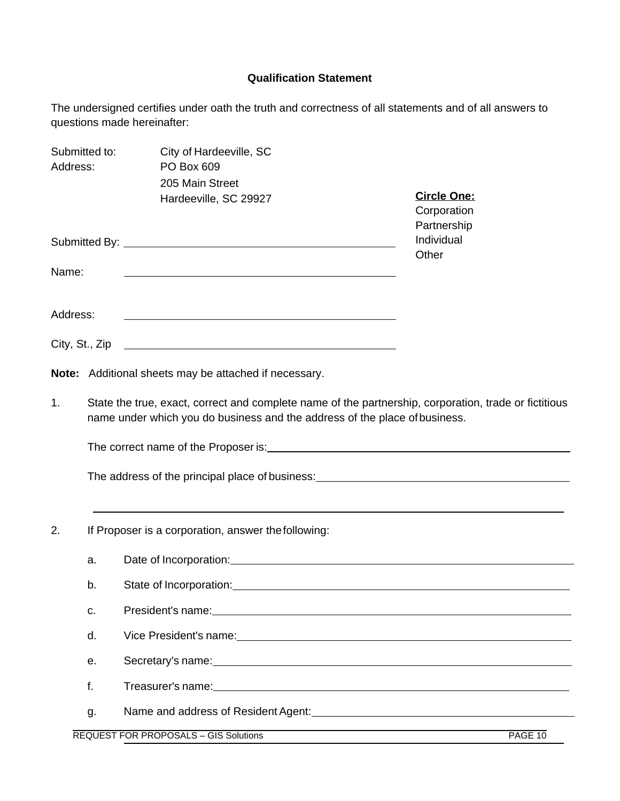# **Qualification Statement**

The undersigned certifies under oath the truth and correctness of all statements and of all answers to questions made hereinafter:

| Submitted to:<br>Address: |                                                                                                                                                                                                                                            | City of Hardeeville, SC<br>PO Box 609                 |                                    |  |  |  |  |  |  |  |  |
|---------------------------|--------------------------------------------------------------------------------------------------------------------------------------------------------------------------------------------------------------------------------------------|-------------------------------------------------------|------------------------------------|--|--|--|--|--|--|--|--|
|                           |                                                                                                                                                                                                                                            | 205 Main Street<br>Hardeeville, SC 29927              | <b>Circle One:</b><br>Corporation  |  |  |  |  |  |  |  |  |
| Name:                     |                                                                                                                                                                                                                                            |                                                       | Partnership<br>Individual<br>Other |  |  |  |  |  |  |  |  |
| Address:                  |                                                                                                                                                                                                                                            |                                                       |                                    |  |  |  |  |  |  |  |  |
|                           |                                                                                                                                                                                                                                            |                                                       |                                    |  |  |  |  |  |  |  |  |
|                           |                                                                                                                                                                                                                                            | Note: Additional sheets may be attached if necessary. |                                    |  |  |  |  |  |  |  |  |
| 1.                        | State the true, exact, correct and complete name of the partnership, corporation, trade or fictitious<br>name under which you do business and the address of the place of business.                                                        |                                                       |                                    |  |  |  |  |  |  |  |  |
| 2.                        | If Proposer is a corporation, answer the following:                                                                                                                                                                                        |                                                       |                                    |  |  |  |  |  |  |  |  |
|                           | a.                                                                                                                                                                                                                                         |                                                       |                                    |  |  |  |  |  |  |  |  |
|                           | b.                                                                                                                                                                                                                                         |                                                       |                                    |  |  |  |  |  |  |  |  |
|                           | c.                                                                                                                                                                                                                                         |                                                       |                                    |  |  |  |  |  |  |  |  |
|                           | d.                                                                                                                                                                                                                                         |                                                       |                                    |  |  |  |  |  |  |  |  |
|                           | Secretary's name: <u>contract and a secretary secretary secretary secretary secretary secretary secretary secretary secretary secretary secretary secretary secretary secretary secretary secretary secretary secretary secretar</u><br>е. |                                                       |                                    |  |  |  |  |  |  |  |  |
|                           | f.                                                                                                                                                                                                                                         |                                                       |                                    |  |  |  |  |  |  |  |  |
|                           | g.                                                                                                                                                                                                                                         |                                                       |                                    |  |  |  |  |  |  |  |  |
|                           |                                                                                                                                                                                                                                            | <b>REQUEST FOR PROPOSALS - GIS Solutions</b>          | PAGE 10                            |  |  |  |  |  |  |  |  |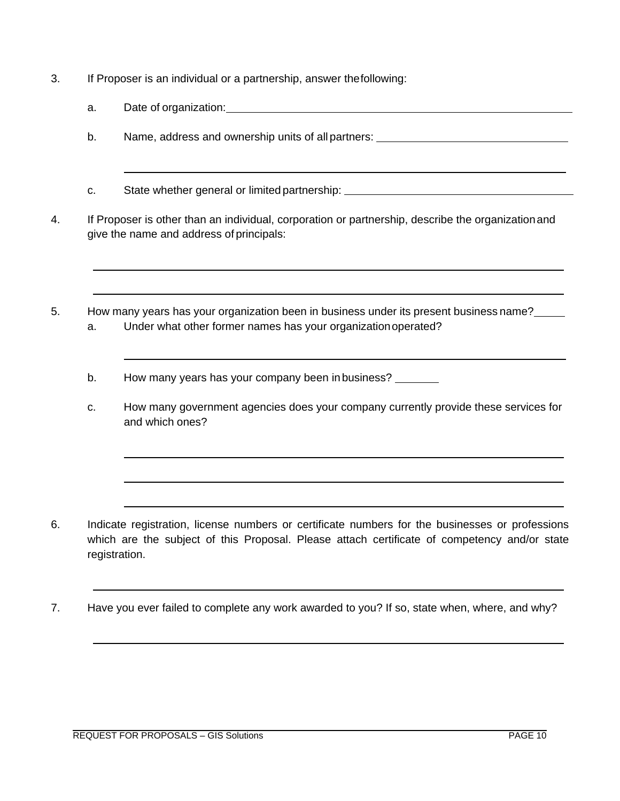- 3. If Proposer is an individual or a partnership, answer thefollowing:
	- a. Date of organization:
	- b. Name, address and ownership units of all partners: \_\_\_\_\_\_\_\_\_\_\_\_\_\_\_\_\_\_\_\_\_\_\_\_\_\_
	- c. State whether general or limited partnership:
- 4. If Proposer is other than an individual, corporation or partnership, describe the organizationand give the name and address of principals:
- 5. How many years has your organization been in business under its present business name? a. Under what other former names has your organizationoperated?
	- b. How many years has your company been in business?
	- c. How many government agencies does your company currently provide these services for and which ones?

- 6. Indicate registration, license numbers or certificate numbers for the businesses or professions which are the subject of this Proposal. Please attach certificate of competency and/or state registration.
- 7. Have you ever failed to complete any work awarded to you? If so, state when, where, and why?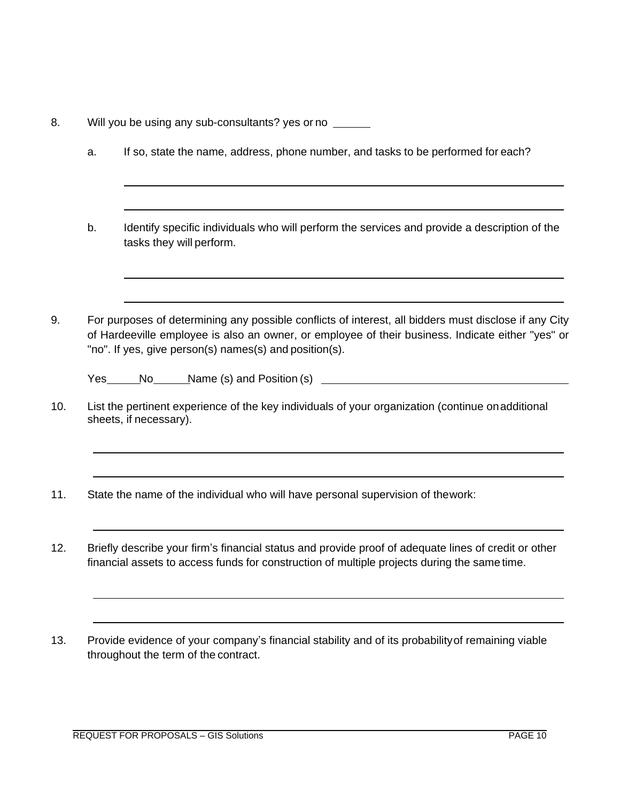8. Will you be using any sub-consultants? yes or no

- a. If so, state the name, address, phone number, and tasks to be performed for each?
- b. Identify specific individuals who will perform the services and provide a description of the tasks they will perform.
- 9. For purposes of determining any possible conflicts of interest, all bidders must disclose if any City of Hardeeville employee is also an owner, or employee of their business. Indicate either "yes" or "no". If yes, give person(s) names(s) and position(s).

Yes No Name (s) and Position (s)

- 10. List the pertinent experience of the key individuals of your organization (continue onadditional sheets, if necessary).
- 11. State the name of the individual who will have personal supervision of thework:
- 12. Briefly describe your firm's financial status and provide proof of adequate lines of credit or other financial assets to access funds for construction of multiple projects during the same time.
- 13. Provide evidence of your company's financial stability and of its probabilityof remaining viable throughout the term of the contract.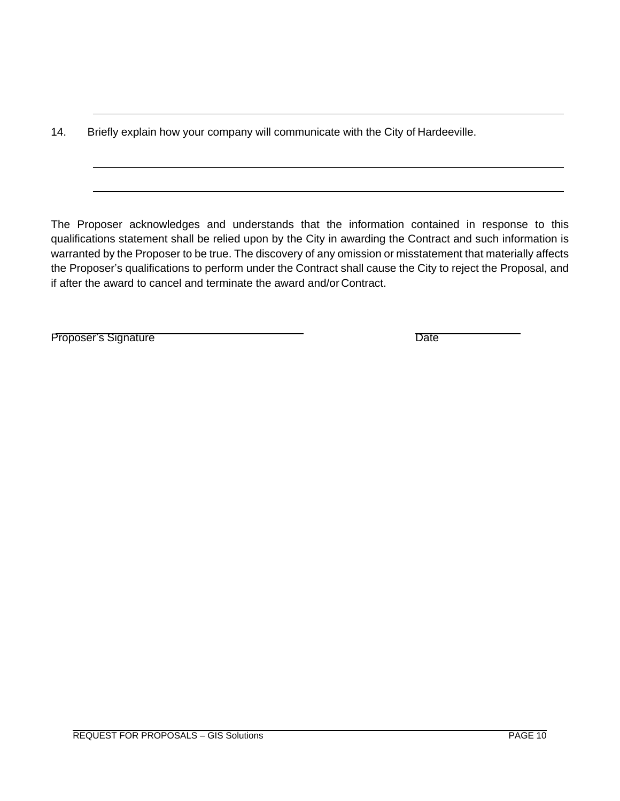14. Briefly explain how your company will communicate with the City of Hardeeville.

The Proposer acknowledges and understands that the information contained in response to this qualifications statement shall be relied upon by the City in awarding the Contract and such information is warranted by the Proposer to be true. The discovery of any omission or misstatement that materially affects the Proposer's qualifications to perform under the Contract shall cause the City to reject the Proposal, and if after the award to cancel and terminate the award and/or Contract.

Proposer's Signature Date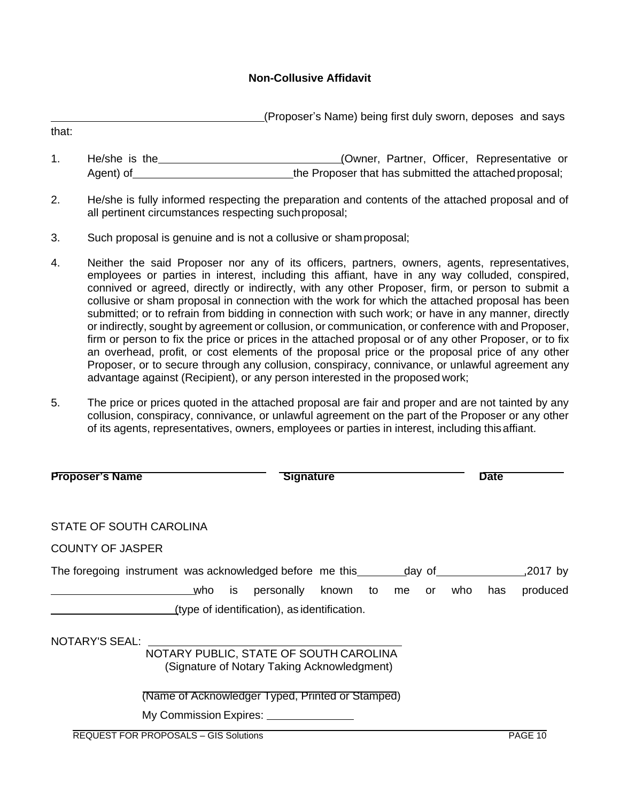## **Non-Collusive Affidavit**

(Proposer's Name) being first duly sworn, deposes and says

1. He/she is the\_\_\_\_\_\_\_\_\_\_\_\_\_\_\_\_\_\_\_\_\_\_\_\_\_\_\_\_\_\_\_(Owner, Partner, Officer, Representative or Agent) of \_\_\_\_\_\_\_\_\_\_\_\_\_\_\_\_\_\_\_\_\_\_\_\_\_\_\_\_\_\_\_the Proposer that has submitted the attached proposal;

- 2. He/she is fully informed respecting the preparation and contents of the attached proposal and of all pertinent circumstances respecting suchproposal;
- 3. Such proposal is genuine and is not a collusive or shamproposal;

that:

- 4. Neither the said Proposer nor any of its officers, partners, owners, agents, representatives, employees or parties in interest, including this affiant, have in any way colluded, conspired, connived or agreed, directly or indirectly, with any other Proposer, firm, or person to submit a collusive or sham proposal in connection with the work for which the attached proposal has been submitted; or to refrain from bidding in connection with such work; or have in any manner, directly or indirectly, sought by agreement or collusion, or communication, or conference with and Proposer, firm or person to fix the price or prices in the attached proposal or of any other Proposer, or to fix an overhead, profit, or cost elements of the proposal price or the proposal price of any other Proposer, or to secure through any collusion, conspiracy, connivance, or unlawful agreement any advantage against (Recipient), or any person interested in the proposed work;
- 5. The price or prices quoted in the attached proposal are fair and proper and are not tainted by any collusion, conspiracy, connivance, or unlawful agreement on the part of the Proposer or any other of its agents, representatives, owners, employees or parties in interest, including thisaffiant.

| <b>Proposer's Name</b>                                                           |           | <b>Signature</b>                                                                      |                |  |     | <b>Date</b> |                      |
|----------------------------------------------------------------------------------|-----------|---------------------------------------------------------------------------------------|----------------|--|-----|-------------|----------------------|
| STATE OF SOUTH CAROLINA                                                          |           |                                                                                       |                |  |     |             |                      |
| <b>COUNTY OF JASPER</b>                                                          |           |                                                                                       |                |  |     |             |                      |
| The foregoing instrument was acknowledged before me this _______________________ | who<br>is | personally<br>(type of identification), as identification.                            | known to me or |  | who | has         | ,2017 by<br>produced |
| <b>NOTARY'S SEAL:</b>                                                            |           | NOTARY PUBLIC, STATE OF SOUTH CAROLINA<br>(Signature of Notary Taking Acknowledgment) |                |  |     |             |                      |
| <b>REQUEST FOR PROPOSALS - GIS Solutions</b>                                     |           | (Name of Acknowledger Typed, Printed or Stamped)                                      |                |  |     |             | PAGE 10              |